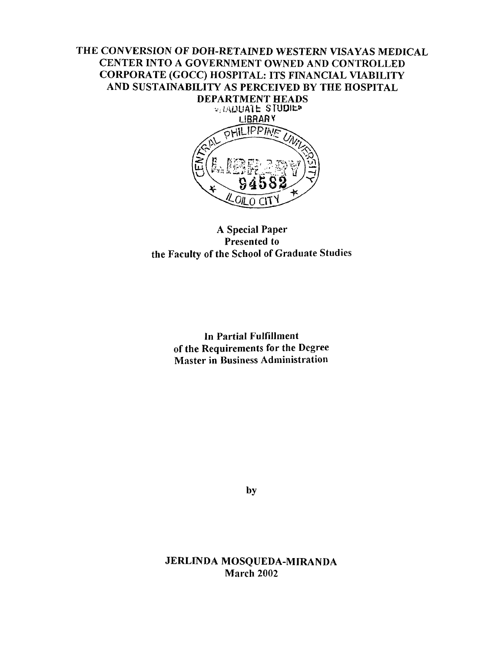# **THE CONVERSION OF DOH - RETAINED WESTERN VISAYAS MEDICAL CENTER INTO A GOVERNMENT OWNED AND CONTROLLED CORPORATE (GOCC) HOSPITAL: ITS FINANCIAL VIABILITY AND SUSTAINABILITY AS PERCEIVED BY THE HOSPITAL**



## **A Special Paper Presented to the Faculty of the School of Graduate Studies**

**In Partial Fulfillment of the Requirements for the Degree Master in Business Administration**

by

**JERLINDA MOSQUEDA-MIRANDA March 2002**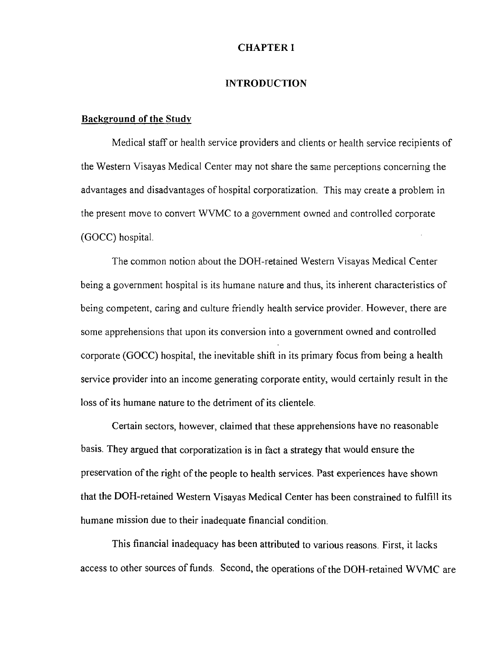#### CHAPTER I

#### INTRODUCTION

#### **Background of the Study**

Medical staff or health service providers and clients or health service recipients of the Western Visayas Medical Center may not share the same perceptions concerning the advantages and disadvantages of hospital corporatization. This may create a problem in the present move to convert WVMC to a government owned and controlled corporate (GOCC) hospital.

The common notion about the DOH - retained Western Visayas Medical Center being a government hospital is its humane nature and thus, its inherent characteristics of being competent, caring and culture friendly health service provider. However, there are some apprehensions that upon its conversion into a government owned and controlled corporate (GOCC) hospital, the inevitable shift in its primary focus from being a health service provider into an income generating corporate entity, would certainly result in the loss of its humane nature to the detriment of its clientele.

Certain sectors, however, claimed that these apprehensions have no reasonable basis. They argued that corporatization is in fact a strategy that would ensure the preservation of the right of the people to health services. Past experiences have shown that the DOH - retained Western Visayas Medical Center has been constrained to fulfill its humane mission due to their inadequate financial condition.

This financial inadequacy has been attributed to various reasons. First, it lacks access to other sources of funds. Second, the operations of the DOH - retained WVMC are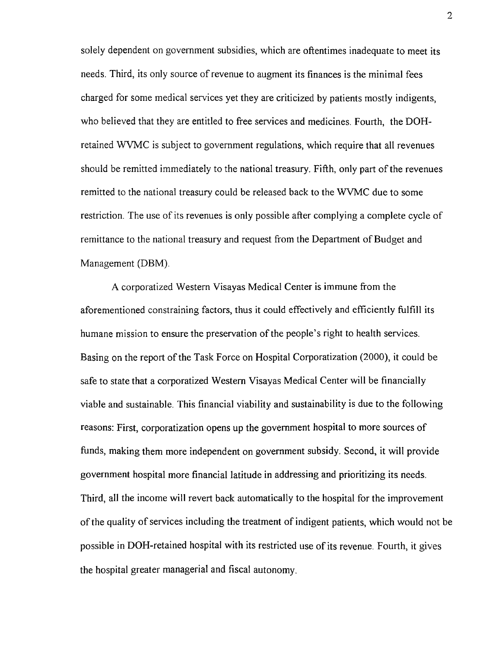solely dependent on government subsidies, which are oftentimes inadequate to meet its needs. Third, its only source of revenue to augment its finances is the minimal fees charged for some medical services yet they are criticized by patients mostly indigents, who believed that they are entitled to free services and medicines. Fourth, the DOHretained WVMC is subject to government regulations, which require that all revenues should be remitted immediately to the national treasury. Fifth, only part of the revenues remitted to the national treasury could be released back to the WVMC due to some restriction. The use of its revenues is only possible after complying a complete cycle of remittance to the national treasury and request from the Department of Budget and Management (DBM).

A corporatized Western Visayas Medical Center is immune from the aforementioned constraining factors, thus it could effectively and efficiently fulfill its humane mission to ensure the preservation of the people's right to health services. Basing on the report of the Task Force on Hospital Corporatization (2000), it could be safe to state that a corporatized Western Visayas Medical Center will be financially viable and sustainable. This financial viability and sustainability is due to the following reasons: First, corporatization opens up the government hospital to more sources of funds, making them more independent on government subsidy. Second, it will provide government hospital more financial latitude in addressing and prioritizing its needs. Third, all the income will revert back automatically to the hospital for the improvement of the quality of services including the treatment of indigent patients, which would not be possible in DOH - retained hospital with its restricted use of its revenue. Fourth, it gives the hospital greater managerial and fiscal autonomy.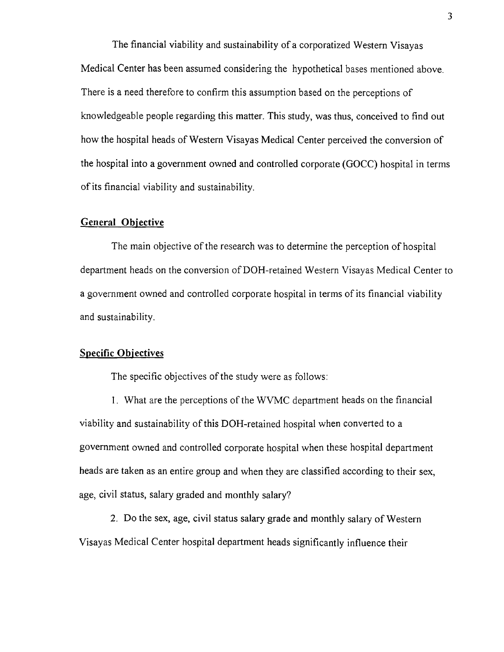The financial viability and sustainability of a corporatized Western Visayas Medical Center has been assumed considering the hypothetical bases mentioned above. There is a need therefore to confirm this assumption based on the perceptions of knowledgeable people regarding this matter. This study, was thus, conceived to find out how the hospital heads of Western Visayas Medical Center perceived the conversion of the hospital into a government owned and controlled corporate (GOCC) hospital in terms of its financial viability and sustainability.

### **General Objective**

The main objective of the research was to determine the perception of hospital department heads on the conversion of DOH - retained Western Visayas Medical Center to a government owned and controlled corporate hospital in terms of its financial viability and sustainability.

## **Specific Objectives**

The specific objectives of the study were as follows:

1. What are the perceptions of the WVMC department heads on the financial viability and sustainability of this DOH - retained hospital when converted to a government owned and controlled corporate hospital when these hospital department heads are taken as an entire group and when they are classified according to their sex, age, civil status, salary graded and monthly salary?

2. Do the sex, age, civil status salary grade and monthly salary of Western Visayas Medical Center hospital department heads significantly influence their